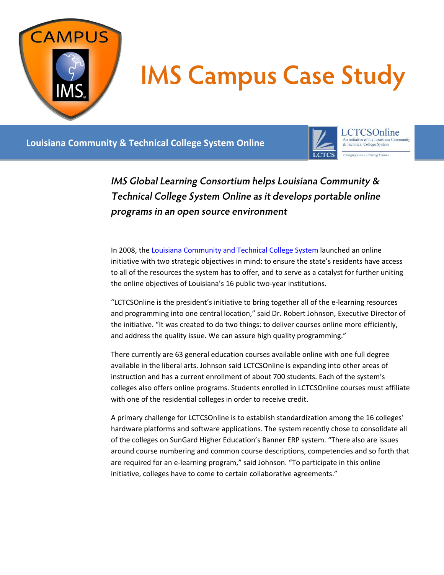

## **IMS Campus Case Study**

## **Louisiana Community & Technical College System Online**



LCTCSOnline An initiative of the Louisiana Co:<br>& Technical College System Changing Lives, Creating Futures

IMS Global Learning Consortium helps Louisiana Community & Technical College System Online as it develops portable online programs in an open source environment

In 2008, the Louisiana [Community and Technical College System](http://www.lctcs.edu/) launched an online initiative with two strategic objectives in mind: to ensure the state's residents have access to all of the resources the system has to offer, and to serve as a catalyst for further uniting the online objectives of Louisiana's 16 public two-year institutions.

"LCTCSOnline is the president's initiative to bring together all of the e-learning resources and programming into one central location," said Dr. Robert Johnson, Executive Director of the initiative. "It was created to do two things: to deliver courses online more efficiently, and address the quality issue. We can assure high quality programming."

There currently are 63 general education courses available online with one full degree available in the liberal arts. Johnson said LCTCSOnline is expanding into other areas of instruction and has a current enrollment of about 700 students. Each of the system's colleges also offers online programs. Students enrolled in LCTCSOnline courses must affiliate with one of the residential colleges in order to receive credit.

A primary challenge for LCTCSOnline is to establish standardization among the 16 colleges' hardware platforms and software applications. The system recently chose to consolidate all of the colleges on SunGard Higher Education's Banner ERP system. "There also are issues around course numbering and common course descriptions, competencies and so forth that are required for an e-learning program," said Johnson. "To participate in this online initiative, colleges have to come to certain collaborative agreements."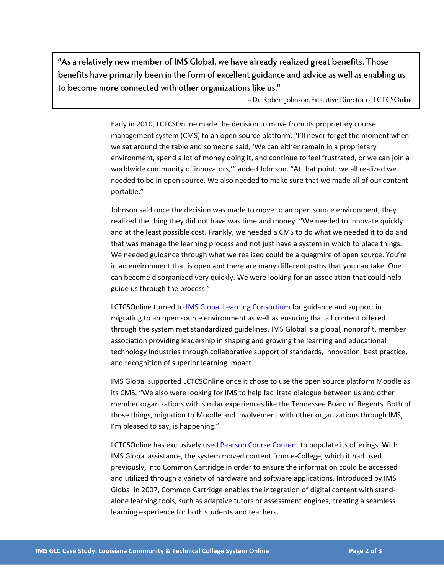"As a relatively new member of IMS Global, we have already realized great benefits. Those benefits have primarily been in the form of excellent guidance and advice as well as enabling us to become more connected with other organizations like us."

- Dr. Robert Johnson, Executive Director of LCTCSOnline

Early in 2010, LCTCSOnline made the decision to move from its proprietary course management system (CMS) to an open source platform. "I'll never forget the moment when we sat around the table and someone said, 'We can either remain in a proprietary environment, spend a lot of money doing it, and continue to feel frustrated, or we can join a worldwide community of innovators,'" added Johnson. "At that point, we all realized we needed to be in open source. We also needed to make sure that we made all of our content portable."

Johnson said once the decision was made to move to an open source environment, they realized the thing they did not have was time and money. "We needed to innovate quickly and at the least possible cost. Frankly, we needed a CMS to do what we needed it to do and that was manage the learning process and not just have a system in which to place things. We needed guidance through what we realized could be a quagmire of open source. You're in an environment that is open and there are many different paths that you can take. One can become disorganized very quickly. We were looking for an association that could help guide us through the process."

LCTCSOnline turned to [IMS Global Learning Consortium](http://www.imsglobal.org/) for guidance and support in migrating to an open source environment as well as ensuring that all content offered through the system met standardized guidelines. IMS Global is a global, nonprofit, member association providing leadership in shaping and growing the learning and educational technology industries through collaborative support of standards, innovation, best practice, and recognition of superior learning impact.

IMS Global supported LCTCSOnline once it chose to use the open source platform Moodle as its CMS. "We also were looking for IMS to help facilitate dialogue between us and other member organizations with similar experiences like the Tennessee Board of Regents. Both of those things, migration to Moodle and involvement with other organizations through IMS, I'm pleased to say, is happening."

LCTCSOnline has exclusively use[d Pearson Course Content](http://www.pearson.com/) to populate its offerings. With IMS Global assistance, the system moved content from e-College, which it had used previously, into Common Cartridge in order to ensure the information could be accessed and utilized through a variety of hardware and software applications. Introduced by IMS Global in 2007, Common Cartridge enables the integration of digital content with standalone learning tools, such as adaptive tutors or assessment engines, creating a seamless learning experience for both students and teachers.